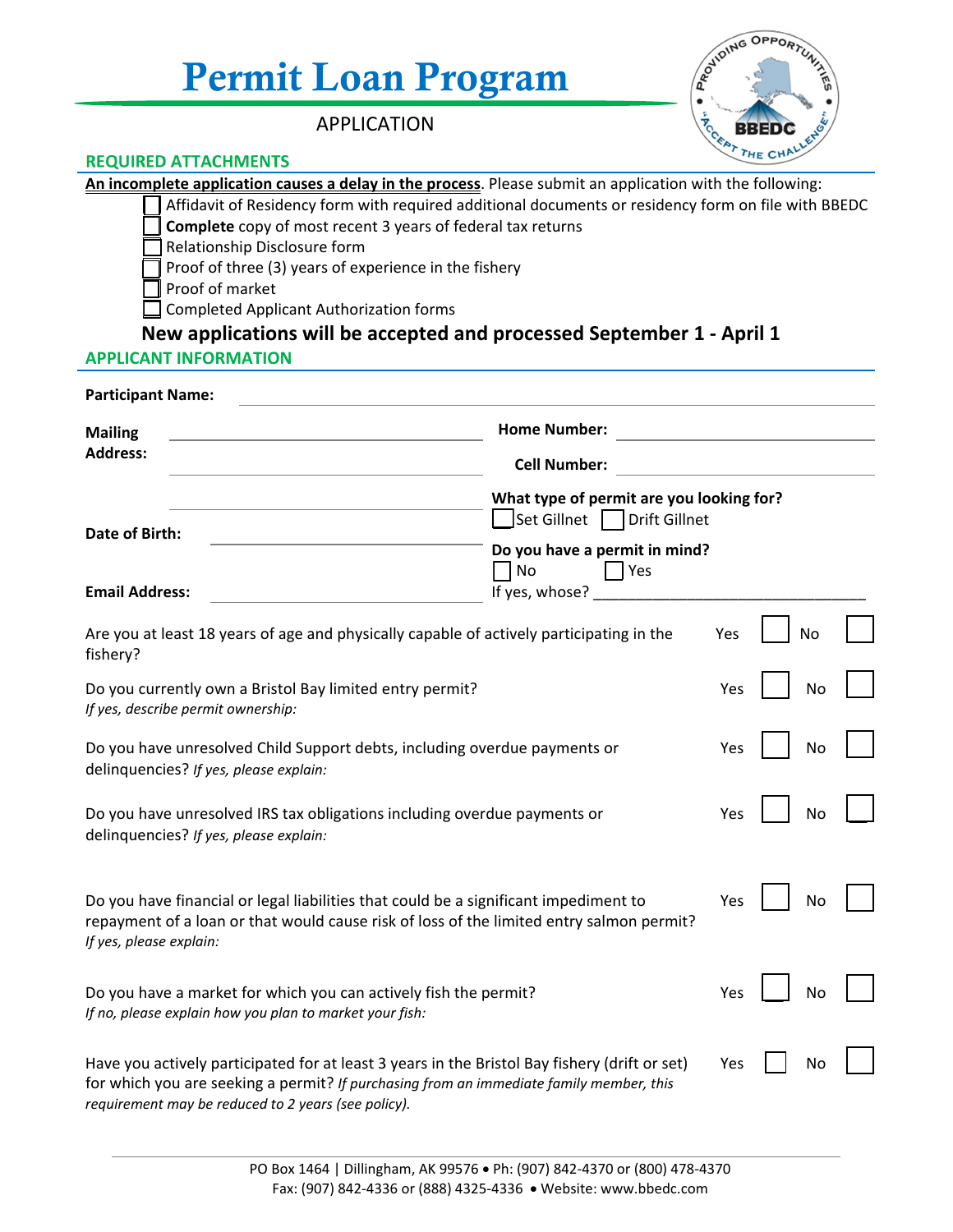# Permit Loan Program

APPLICATION



# **REQUIRED ATTACHMENTS**

| An incomplete application causes a delay in the process. Please submit an application with the following:<br>Affidavit of Residency form with required additional documents or residency form on file with BBEDC<br>Complete copy of most recent 3 years of federal tax returns<br>Relationship Disclosure form<br>Proof of three (3) years of experience in the fishery<br>Proof of market<br><b>Completed Applicant Authorization forms</b><br>New applications will be accepted and processed September 1 - April 1<br><b>APPLICANT INFORMATION</b> |                                                                                                                                          |     |  |    |  |
|--------------------------------------------------------------------------------------------------------------------------------------------------------------------------------------------------------------------------------------------------------------------------------------------------------------------------------------------------------------------------------------------------------------------------------------------------------------------------------------------------------------------------------------------------------|------------------------------------------------------------------------------------------------------------------------------------------|-----|--|----|--|
| <b>Participant Name:</b>                                                                                                                                                                                                                                                                                                                                                                                                                                                                                                                               |                                                                                                                                          |     |  |    |  |
| <b>Mailing</b><br><b>Address:</b>                                                                                                                                                                                                                                                                                                                                                                                                                                                                                                                      | <b>Home Number:</b><br><b>Cell Number:</b>                                                                                               |     |  |    |  |
| Date of Birth:<br><b>Email Address:</b>                                                                                                                                                                                                                                                                                                                                                                                                                                                                                                                | What type of permit are you looking for?<br>Set Gillnet Drift Gillnet<br>Do you have a permit in mind?<br>  No<br> Yes<br>If yes, whose? |     |  |    |  |
| Are you at least 18 years of age and physically capable of actively participating in the<br>fishery?                                                                                                                                                                                                                                                                                                                                                                                                                                                   |                                                                                                                                          | Yes |  | No |  |
| Do you currently own a Bristol Bay limited entry permit?<br>If yes, describe permit ownership:                                                                                                                                                                                                                                                                                                                                                                                                                                                         |                                                                                                                                          | Yes |  | No |  |
| Do you have unresolved Child Support debts, including overdue payments or<br>delinquencies? If yes, please explain:                                                                                                                                                                                                                                                                                                                                                                                                                                    |                                                                                                                                          | Yes |  | No |  |
| Do you have unresolved IRS tax obligations including overdue payments or<br>delinquencies? If yes, please explain:                                                                                                                                                                                                                                                                                                                                                                                                                                     |                                                                                                                                          | Yes |  | No |  |
| Do you have financial or legal liabilities that could be a significant impediment to<br>repayment of a loan or that would cause risk of loss of the limited entry salmon permit?<br>If yes, please explain:                                                                                                                                                                                                                                                                                                                                            |                                                                                                                                          | Yes |  |    |  |
| Do you have a market for which you can actively fish the permit?<br>If no, please explain how you plan to market your fish:                                                                                                                                                                                                                                                                                                                                                                                                                            |                                                                                                                                          | Yes |  | No |  |
| Have you actively participated for at least 3 years in the Bristol Bay fishery (drift or set)<br>for which you are seeking a permit? If purchasing from an immediate family member, this<br>requirement may be reduced to 2 years (see policy).                                                                                                                                                                                                                                                                                                        |                                                                                                                                          | Yes |  | Nc |  |